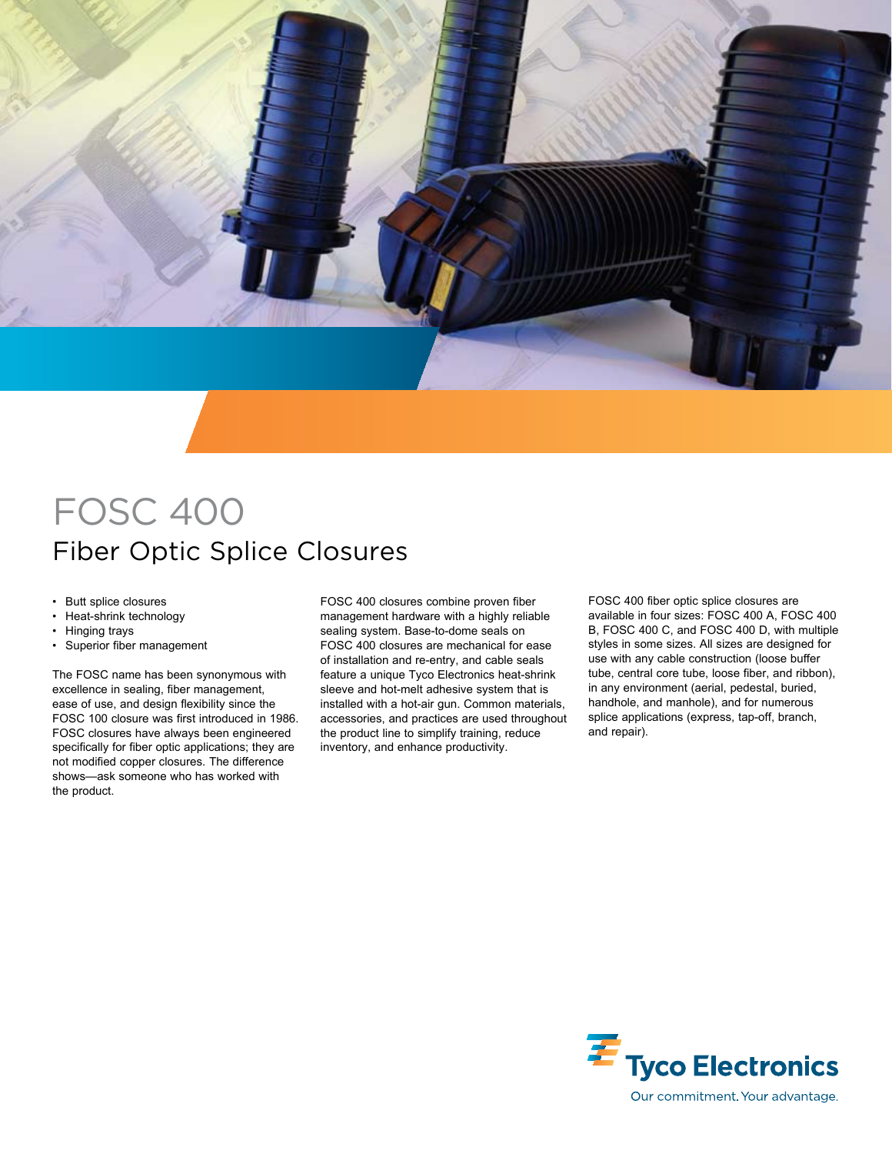

# FOSC 400 Fiber Optic Splice Closures

- Butt splice closures
- Heat-shrink technology
- Hinging trays
- Superior fiber management

The FOSC name has been synonymous with excellence in sealing, fiber management, ease of use, and design flexibility since the FOSC 100 closure was first introduced in 1986. FOSC closures have always been engineered specifically for fiber optic applications; they are not modified copper closures. The difference shows—ask someone who has worked with the product.

FOSC 400 closures combine proven fiber management hardware with a highly reliable sealing system. Base-to-dome seals on FOSC 400 closures are mechanical for ease of installation and re-entry, and cable seals feature a unique Tyco Electronics heat-shrink sleeve and hot-melt adhesive system that is installed with a hot-air gun. Common materials, accessories, and practices are used throughout the product line to simplify training, reduce inventory, and enhance productivity.

FOSC 400 fiber optic splice closures are available in four sizes: FOSC 400 A, FOSC 400 B, FOSC 400 C, and FOSC 400 D, with multiple styles in some sizes. All sizes are designed for use with any cable construction (loose buffer tube, central core tube, loose fiber, and ribbon), in any environment (aerial, pedestal, buried, handhole, and manhole), and for numerous splice applications (express, tap-off, branch, and repair).

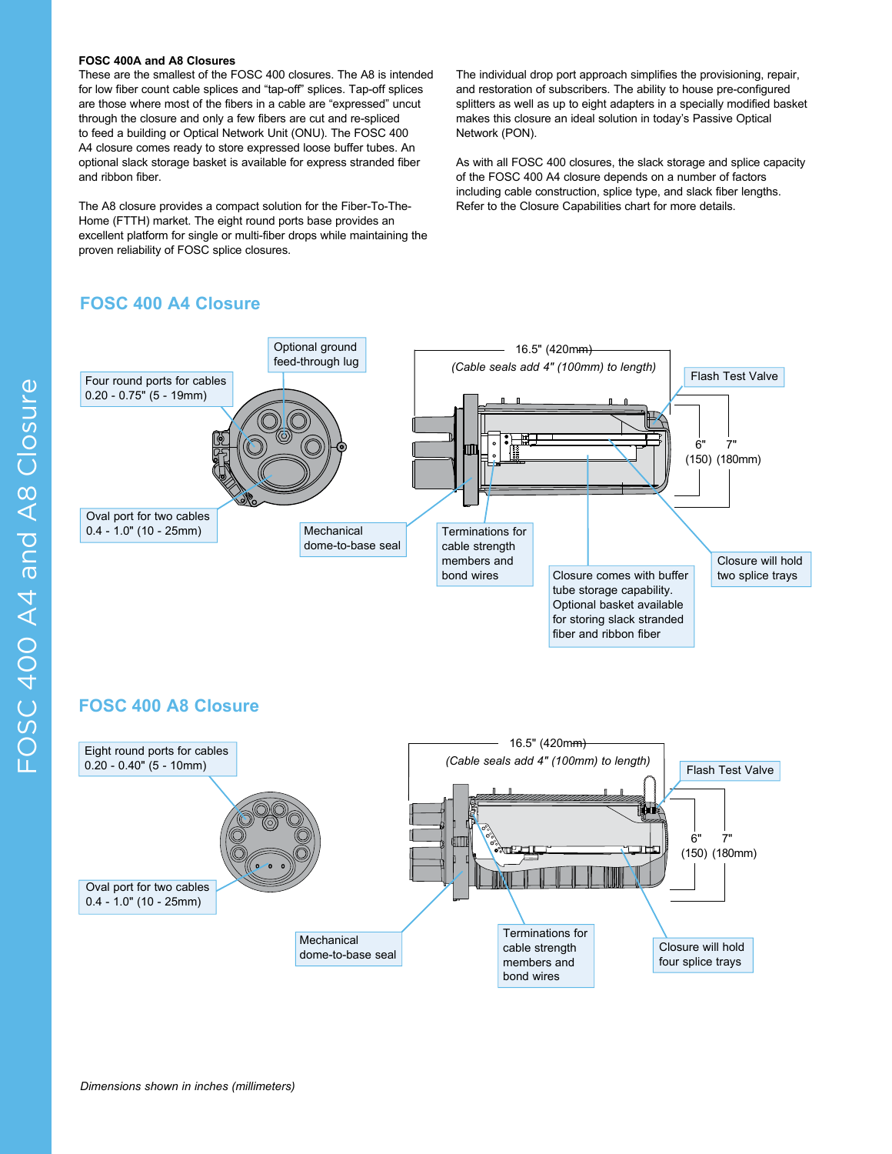#### **FOSC 400A and A8 Closures**

These are the smallest of the FOSC 400 closures. The A8 is intended for low fiber count cable splices and "tap-off" splices. Tap-off splices are those where most of the fibers in a cable are "expressed" uncut through the closure and only a few fibers are cut and re-spliced to feed a building or Optical Network Unit (ONU). The FOSC 400 A4 closure comes ready to store expressed loose buffer tubes. An optional slack storage basket is available for express stranded fiber and ribbon fiber.

The A8 closure provides a compact solution for the Fiber-To-The-Home (FTTH) market. The eight round ports base provides an excellent platform for single or multi-fiber drops while maintaining the proven reliability of FOSC splice closures.

## **FOSC 400 A4 Closure**

The individual drop port approach simplifies the provisioning, repair, and restoration of subscribers. The ability to house pre-configured splitters as well as up to eight adapters in a specially modified basket makes this closure an ideal solution in today's Passive Optical Network (PON).

As with all FOSC 400 closures, the slack storage and splice capacity of the FOSC 400 A4 closure depends on a number of factors including cable construction, splice type, and slack fiber lengths. Refer to the Closure Capabilities chart for more details.



## **FOSC 400 A8 Closure**

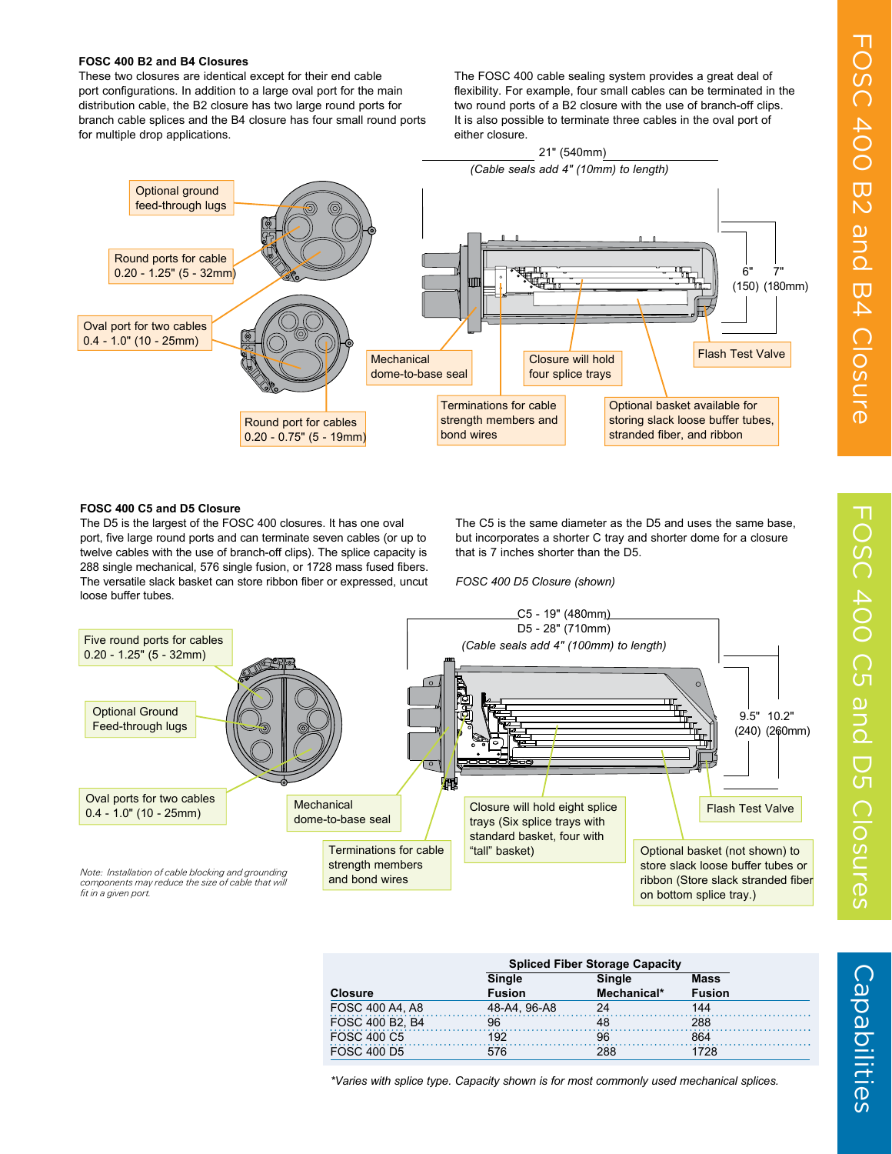#### **FOSC 400 B2 and B4 Closures**

These two closures are identical except for their end cable port configurations. In addition to a large oval port for the main distribution cable, the B2 closure has two large round ports for branch cable splices and the B4 closure has four small round ports for multiple drop applications.

The FOSC 400 cable sealing system provides a great deal of flexibility. For example, four small cables can be terminated in the two round ports of a B2 closure with the use of branch-off clips. It is also possible to terminate three cables in the oval port of either closure.



### **FOSC 400 C5 and D5 Closure**

The D5 is the largest of the FOSC 400 closures. It has one oval port, five large round ports and can terminate seven cables (or up to twelve cables with the use of branch-off clips). The splice capacity is 288 single mechanical, 576 single fusion, or 1728 mass fused fibers. The versatile slack basket can store ribbon fiber or expressed, uncut loose buffer tubes.

The C5 is the same diameter as the D5 and uses the same base, but incorporates a shorter C tray and shorter dome for a closure that is 7 inches shorter than the D5.

*FOSC 400 D5 Closure (shown)*



|                    | <b>Spliced Fiber Storage Capacity</b> |             |               |
|--------------------|---------------------------------------|-------------|---------------|
|                    | Single                                | Single      | <b>Mass</b>   |
| <b>Closure</b>     | <b>Fusion</b>                         | Mechanical* | <b>Fusion</b> |
| FOSC 400 A4, A8    | 48-A4, 96-A8                          | 24          | 144           |
| FOSC 400 B2. B4    | 96                                    |             | 288           |
| <b>FOSC 400 C5</b> | 192                                   | 96          | 864           |
| <b>FOSC 400 D5</b> |                                       | 288         |               |

*\*Varies with splice type. Capacity shown is for most commonly used mechanical splices.*

Capabilities

Capabilities